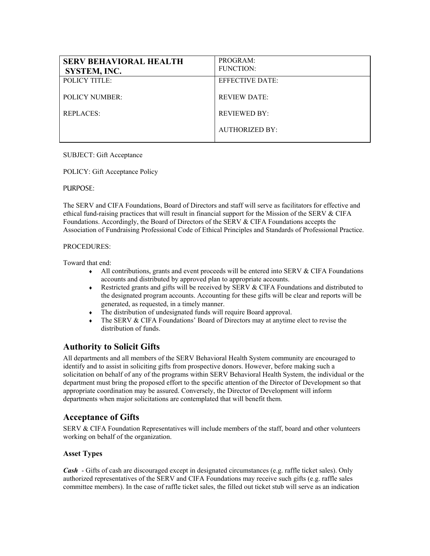| <b>SERV BEHAVIORAL HEALTH</b><br>SYSTEM, INC. | PROGRAM:<br><b>FUNCTION:</b> |
|-----------------------------------------------|------------------------------|
| <b>POLICY TITLE:</b>                          | <b>EFFECTIVE DATE:</b>       |
| <b>POLICY NUMBER:</b>                         | <b>REVIEW DATE:</b>          |
| <b>REPLACES:</b>                              | <b>REVIEWED BY:</b>          |
|                                               | AUTHORIZED BY:               |

#### SUBJECT: Gift Acceptance

#### POLICY: Gift Acceptance Policy

#### PURPOSE:

The SERV and CIFA Foundations, Board of Directors and staff will serve as facilitators for effective and ethical fund-raising practices that will result in financial support for the Mission of the SERV & CIFA Foundations. Accordingly, the Board of Directors of the SERV & CIFA Foundations accepts the Association of Fundraising Professional Code of Ethical Principles and Standards of Professional Practice.

#### PROCEDURES:

Toward that end:

- $\bullet$  All contributions, grants and event proceeds will be entered into SERV & CIFA Foundations accounts and distributed by approved plan to appropriate accounts.
- ♦ Restricted grants and gifts will be received by SERV & CIFA Foundations and distributed to the designated program accounts. Accounting for these gifts will be clear and reports will be generated, as requested, in a timely manner.
- ♦ The distribution of undesignated funds will require Board approval.
- The SERV  $& CIFA$  Foundations' Board of Directors may at anytime elect to revise the distribution of funds.

# **Authority to Solicit Gifts**

All departments and all members of the SERV Behavioral Health System community are encouraged to identify and to assist in soliciting gifts from prospective donors. However, before making such a solicitation on behalf of any of the programs within SERV Behavioral Health System, the individual or the department must bring the proposed effort to the specific attention of the Director of Development so that appropriate coordination may be assured. Conversely, the Director of Development will inform departments when major solicitations are contemplated that will benefit them.

## **Acceptance of Gifts**

SERV & CIFA Foundation Representatives will include members of the staff, board and other volunteers working on behalf of the organization.

### **Asset Types**

*Cash* - Gifts of cash are discouraged except in designated circumstances (e.g. raffle ticket sales). Only authorized representatives of the SERV and CIFA Foundations may receive such gifts (e.g. raffle sales committee members). In the case of raffle ticket sales, the filled out ticket stub will serve as an indication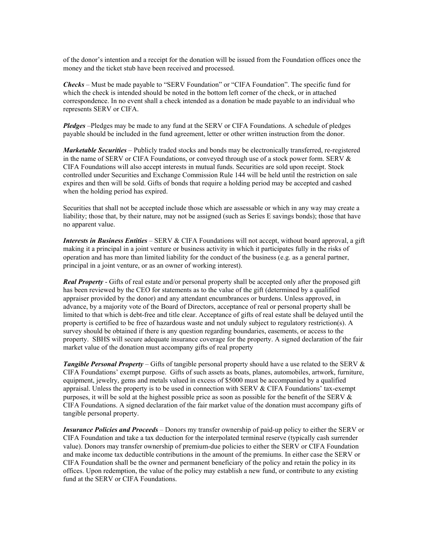of the donor's intention and a receipt for the donation will be issued from the Foundation offices once the money and the ticket stub have been received and processed.

*Checks* – Must be made payable to "SERV Foundation" or "CIFA Foundation". The specific fund for which the check is intended should be noted in the bottom left corner of the check, or in attached correspondence. In no event shall a check intended as a donation be made payable to an individual who represents SERV or CIFA.

*Pledges* –Pledges may be made to any fund at the SERV or CIFA Foundations. A schedule of pledges payable should be included in the fund agreement, letter or other written instruction from the donor.

*Marketable Securities* – Publicly traded stocks and bonds may be electronically transferred, re-registered in the name of SERV or CIFA Foundations, or conveyed through use of a stock power form. SERV & CIFA Foundations will also accept interests in mutual funds. Securities are sold upon receipt. Stock controlled under Securities and Exchange Commission Rule 144 will be held until the restriction on sale expires and then will be sold. Gifts of bonds that require a holding period may be accepted and cashed when the holding period has expired.

Securities that shall not be accepted include those which are assessable or which in any way may create a liability; those that, by their nature, may not be assigned (such as Series E savings bonds); those that have no apparent value.

*Interests in Business Entities* – SERV & CIFA Foundations will not accept, without board approval, a gift making it a principal in a joint venture or business activity in which it participates fully in the risks of operation and has more than limited liability for the conduct of the business (e.g. as a general partner, principal in a joint venture, or as an owner of working interest).

*Real Property* - Gifts of real estate and/or personal property shall be accepted only after the proposed gift has been reviewed by the CEO for statements as to the value of the gift (determined by a qualified appraiser provided by the donor) and any attendant encumbrances or burdens. Unless approved, in advance, by a majority vote of the Board of Directors, acceptance of real or personal property shall be limited to that which is debt-free and title clear. Acceptance of gifts of real estate shall be delayed until the property is certified to be free of hazardous waste and not unduly subject to regulatory restriction(s). A survey should be obtained if there is any question regarding boundaries, easements, or access to the property. SBHS will secure adequate insurance coverage for the property. A signed declaration of the fair market value of the donation must accompany gifts of real property

*Tangible Personal Property* – Gifts of tangible personal property should have a use related to the SERV & CIFA Foundations' exempt purpose. Gifts of such assets as boats, planes, automobiles, artwork, furniture, equipment, jewelry, gems and metals valued in excess of \$5000 must be accompanied by a qualified appraisal. Unless the property is to be used in connection with SERV  $& CIFA$  Foundations' tax-exempt purposes, it will be sold at the highest possible price as soon as possible for the benefit of the SERV  $\&$ CIFA Foundations. A signed declaration of the fair market value of the donation must accompany gifts of tangible personal property.

*Insurance Policies and Proceeds* – Donors my transfer ownership of paid-up policy to either the SERV or CIFA Foundation and take a tax deduction for the interpolated terminal reserve (typically cash surrender value). Donors may transfer ownership of premium-due policies to either the SERV or CIFA Foundation and make income tax deductible contributions in the amount of the premiums. In either case the SERV or CIFA Foundation shall be the owner and permanent beneficiary of the policy and retain the policy in its offices. Upon redemption, the value of the policy may establish a new fund, or contribute to any existing fund at the SERV or CIFA Foundations.